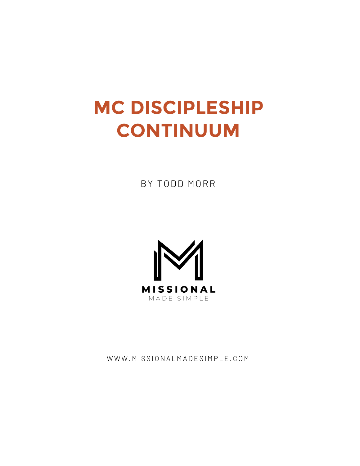# **MC DISCIPLESHIP CONTINUUM**

BY TODD MORR



WWW.MISSIONALMADESIMPLE.COM